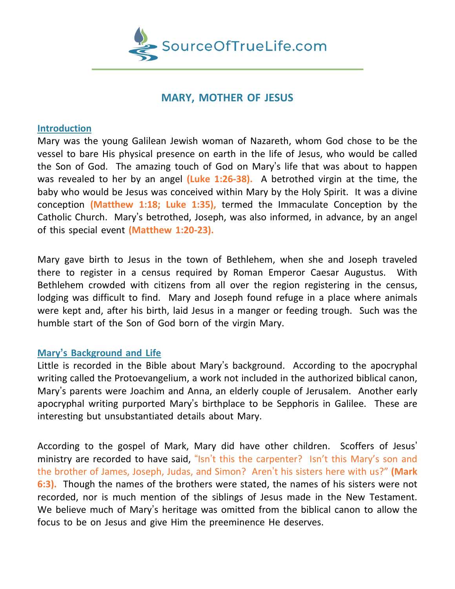

## **MARY, MOTHER OF JESUS**

## **Introduction**

Mary was the young Galilean Jewish woman of Nazareth, whom God chose to be the vessel to bare His physical presence on earth in the life of Jesus, who would be called the Son of God. The amazing touch of God on Mary's life that was about to happen was revealed to her by an angel **(Luke 1:26-38).** A betrothed virgin at the time, the baby who would be Jesus was conceived within Mary by the Holy Spirit. It was a divine conception **(Matthew 1:18; Luke 1:35),** termed the Immaculate Conception by the Catholic Church. Mary's betrothed, Joseph, was also informed, in advance, by an angel of this special event **(Matthew 1:20-23).**

Mary gave birth to Jesus in the town of Bethlehem, when she and Joseph traveled there to register in a census required by Roman Emperor Caesar Augustus. With Bethlehem crowded with citizens from all over the region registering in the census, lodging was difficult to find. Mary and Joseph found refuge in a place where animals were kept and, after his birth, laid Jesus in a manger or feeding trough. Such was the humble start of the Son of God born of the virgin Mary.

## **Mary's Background and Life**

Little is recorded in the Bible about Mary's background. According to the apocryphal writing called the Protoevangelium, a work not included in the authorized biblical canon, Mary's parents were Joachim and Anna, an elderly couple of Jerusalem. Another early apocryphal writing purported Mary's birthplace to be Sepphoris in Galilee. These are interesting but unsubstantiated details about Mary.

According to the gospel of Mark, Mary did have other children. Scoffers of Jesus' ministry are recorded to have said, "Isn't this the carpenter? Isn't this Mary's son and the brother of James, Joseph, Judas, and Simon? Aren't his sisters here with us?" **(Mark 6:3).** Though the names of the brothers were stated, the names of his sisters were not recorded, nor is much mention of the siblings of Jesus made in the New Testament. We believe much of Mary's heritage was omitted from the biblical canon to allow the focus to be on Jesus and give Him the preeminence He deserves.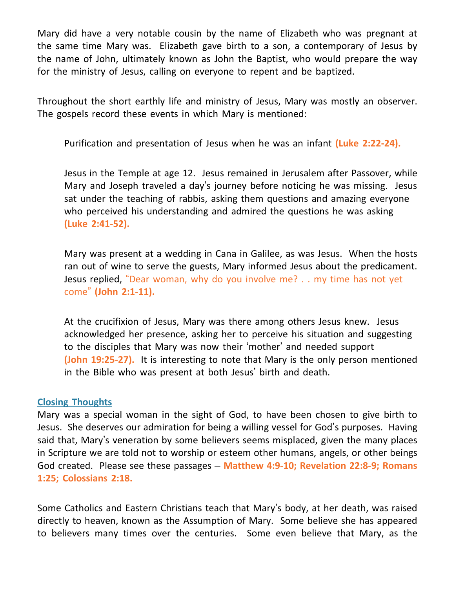Mary did have a very notable cousin by the name of Elizabeth who was pregnant at the same time Mary was. Elizabeth gave birth to a son, a contemporary of Jesus by the name of John, ultimately known as John the Baptist, who would prepare the way for the ministry of Jesus, calling on everyone to repent and be baptized.

Throughout the short earthly life and ministry of Jesus, Mary was mostly an observer. The gospels record these events in which Mary is mentioned:

Purification and presentation of Jesus when he was an infant **(Luke 2:22-24).**

Jesus in the Temple at age 12. Jesus remained in Jerusalem after Passover, while Mary and Joseph traveled a day's journey before noticing he was missing. Jesus sat under the teaching of rabbis, asking them questions and amazing everyone who perceived his understanding and admired the questions he was asking **(Luke 2:41-52).**

Mary was present at a wedding in Cana in Galilee, as was Jesus. When the hosts ran out of wine to serve the guests, Mary informed Jesus about the predicament. Jesus replied, "Dear woman, why do you involve me? . . my time has not yet come" **(John 2:1-11).**

At the crucifixion of Jesus, Mary was there among others Jesus knew. Jesus acknowledged her presence, asking her to perceive his situation and suggesting to the disciples that Mary was now their 'mother' and needed support **(John 19:25-27).** It is interesting to note that Mary is the only person mentioned in the Bible who was present at both Jesus' birth and death.

## **Closing Thoughts**

Mary was a special woman in the sight of God, to have been chosen to give birth to Jesus. She deserves our admiration for being a willing vessel for God's purposes. Having said that, Mary's veneration by some believers seems misplaced, given the many places in Scripture we are told not to worship or esteem other humans, angels, or other beings God created. Please see these passages – **Matthew 4:9-10; Revelation 22:8-9; Romans 1:25; Colossians 2:18.**

Some Catholics and Eastern Christians teach that Mary's body, at her death, was raised directly to heaven, known as the Assumption of Mary. Some believe she has appeared to believers many times over the centuries. Some even believe that Mary, as the